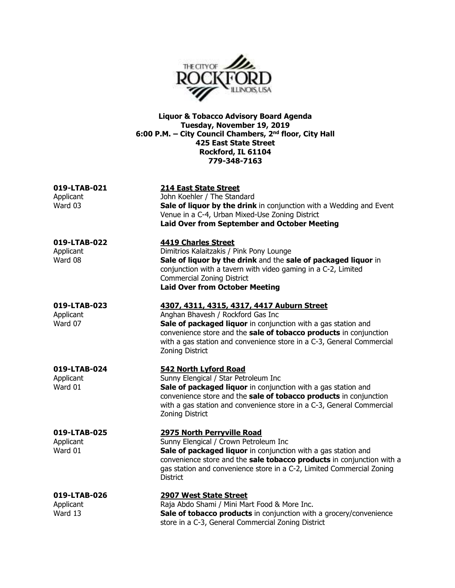

**Liquor & Tobacco Advisory Board Agenda Tuesday, November 19, 2019 6:00 P.M. – City Council Chambers, 2nd floor, City Hall 425 East State Street Rockford, IL 61104 779-348-7163** 

| 019-LTAB-021 | 214 East State Street                                                      |
|--------------|----------------------------------------------------------------------------|
| Applicant    | John Koehler / The Standard                                                |
| Ward 03      | <b>Sale of liquor by the drink</b> in conjunction with a Wedding and Event |
|              | Venue in a C-4, Urban Mixed-Use Zoning District                            |
|              | <b>Laid Over from September and October Meeting</b>                        |
|              |                                                                            |

**019-LTAB-022 4419 Charles Street** 

Applicant Dimitrios Kalaitzakis / Pink Pony Lounge Ward 08 **Sale of liquor by the drink** and the **sale of packaged liquor** in conjunction with a tavern with video gaming in a C-2, Limited Commercial Zoning District **Laid Over from October Meeting** 

## **019-LTAB-023 4307, 4311, 4315, 4317, 4417 Auburn Street**

Applicant Anghan Bhavesh / Rockford Gas Inc Ward 07 **Sale of packaged liquor** in conjunction with a gas station and convenience store and the **sale of tobacco products** in conjunction with a gas station and convenience store in a C-3, General Commercial Zoning District

# **019-LTAB-024 542 North Lyford Road**

Applicant **Sunny Elengical / Star Petroleum Inc** Ward 01 **Sale of packaged liquor** in conjunction with a gas station and convenience store and the **sale of tobacco products** in conjunction with a gas station and convenience store in a C-3, General Commercial Zoning District

# **019-LTAB-025 2975 North Perryville Road**

Applicant **Sunny Elengical / Crown Petroleum Inc** Ward 01 **Sale of packaged liquor** in conjunction with a gas station and convenience store and the **sale tobacco products** in conjunction with a gas station and convenience store in a C-2, Limited Commercial Zoning **District** 

# **019-LTAB-026 2907 West State Street**

Applicant **Raja Abdo Shami / Mini Mart Food & More Inc.** Ward 13 **Sale of tobacco products** in conjunction with a grocery/convenience store in a C-3, General Commercial Zoning District